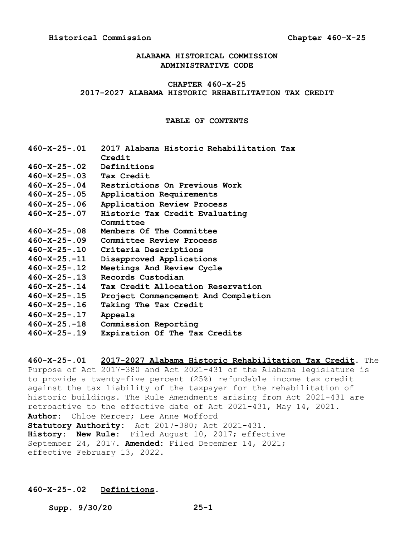## **ALABAMA HISTORICAL COMMISSION ADMINISTRATIVE CODE**

## **CHAPTER 460-X-25 2017-2027 ALABAMA HISTORIC REHABILITATION TAX CREDIT**

## **TABLE OF CONTENTS**

| $460 - X - 25 - .01$  | 2017 Alabama Historic Rehabilitation Tax |
|-----------------------|------------------------------------------|
|                       | Credit                                   |
| 460-X-25-.02          | Definitions                              |
| $460 - X - 25 - 0.03$ | Tax Credit                               |
| $460 - X - 25 - .04$  | Restrictions On Previous Work            |
| $460 - X - 25 - .05$  | Application Requirements                 |
| $460 - X - 25 - .06$  | Application Review Process               |
| $460 - X - 25 - .07$  | Historic Tax Credit Evaluating           |
|                       | Committee                                |
| $460 - X - 25 - .08$  | Members Of The Committee                 |
| $460 - X - 25 - .09$  | Committee Review Process                 |
| $460 - X - 25 - 0.10$ | Criteria Descriptions                    |
| $460 - X - 25 - 11$   | Disapproved Applications                 |
| $460 - X - 25 - .12$  | Meetings And Review Cycle                |
| $460 - X - 25 - .13$  | Records Custodian                        |
| $460 - X - 25 - .14$  | Tax Credit Allocation Reservation        |
| 460-X-25-.15          | Project Commencement And Completion      |
| $460 - X - 25 - .16$  | Taking The Tax Credit                    |
| $460 - X - 25 - .17$  | Appeals                                  |
| $460 - X - 25 - 18$   | Commission Reporting                     |
| $460 - X - 25 - .19$  | Expiration Of The Tax Credits            |
|                       |                                          |

**460-X-25-.01 2017-2027 Alabama Historic Rehabilitation Tax Credit.** The Purpose of Act 2017-380 and Act 2021-431 of the Alabama legislature is to provide a twenty-five percent (25%) refundable income tax credit against the tax liability of the taxpayer for the rehabilitation of historic buildings. The Rule Amendments arising from Act 2021-431 are retroactive to the effective date of Act 2021-431, May 14, 2021. **Author:** Chloe Mercer; Lee Anne Wofford **Statutory Authority:** Act 2017-380; Act 2021-431. **History: New Rule:** Filed August 10, 2017; effective September 24, 2017. **Amended:** Filed December 14, 2021; effective February 13, 2022.

## **460-X-25-.02 Definitions.**

**Supp. 9/30/20 25-1**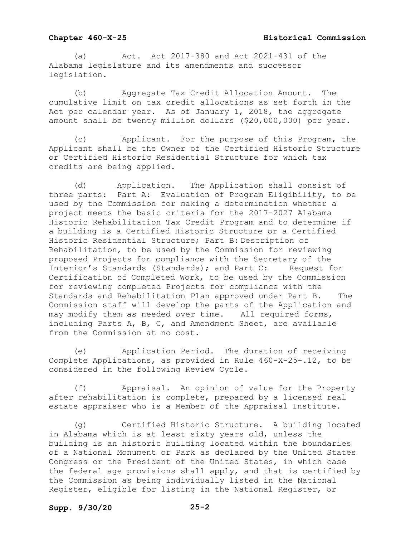(a) Act. Act 2017-380 and Act 2021-431 of the Alabama legislature and its amendments and successor legislation.

(b) Aggregate Tax Credit Allocation Amount. The cumulative limit on tax credit allocations as set forth in the Act per calendar year. As of January 1, 2018, the aggregate amount shall be twenty million dollars (\$20,000,000) per year.

(c) Applicant. For the purpose of this Program, the Applicant shall be the Owner of the Certified Historic Structure or Certified Historic Residential Structure for which tax credits are being applied.

(d) Application. The Application shall consist of three parts: Part A: Evaluation of Program Eligibility, to k Part A: Evaluation of Program Eligibility, to be used by the Commission for making a determination whether a project meets the basic criteria for the 2017-2027 Alabama Historic Rehabilitation Tax Credit Program and to determine if a building is a Certified Historic Structure or a Certified Historic Residential Structure; Part B: Description of Rehabilitation, to be used by the Commission for reviewing proposed Projects for compliance with the Secretary of the<br>Interior's Standards (Standards); and Part C: Request for Interior's Standards (Standards); and Part C: Certification of Completed Work, to be used by the Commission for reviewing completed Projects for compliance with the Standards and Rehabilitation Plan approved under Part B. The Commission staff will develop the parts of the Application and may modify them as needed over time. All required forms, including Parts A, B, C, and Amendment Sheet, are available from the Commission at no cost.

(e) Application Period. The duration of receiving Complete Applications, as provided in Rule 460-X-25-.12, to be considered in the following Review Cycle.

(f) Appraisal. An opinion of value for the Property after rehabilitation is complete, prepared by a licensed real estate appraiser who is a Member of the Appraisal Institute.

(g) Certified Historic Structure. A building located in Alabama which is at least sixty years old, unless the building is an historic building located within the boundaries of a National Monument or Park as declared by the United States Congress or the President of the United States, in which case the federal age provisions shall apply, and that is certified by the Commission as being individually listed in the National Register, eligible for listing in the National Register, or

## **Supp. 9/30/20 25-2**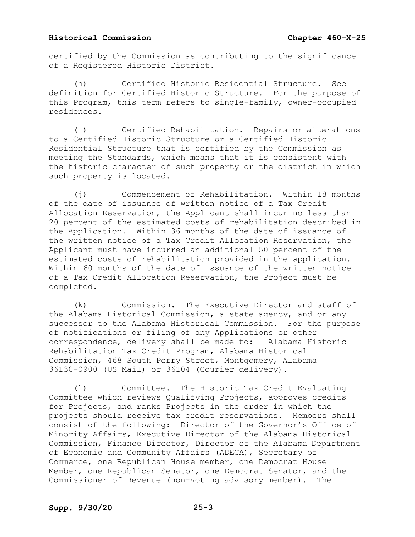certified by the Commission as contributing to the significance of a Registered Historic District.

(h) Certified Historic Residential Structure. See definition for Certified Historic Structure. For the purpose of this Program, this term refers to single-family, owner-occupied residences.

(i) Certified Rehabilitation. Repairs or alterations to a Certified Historic Structure or a Certified Historic Residential Structure that is certified by the Commission as meeting the Standards, which means that it is consistent with the historic character of such property or the district in which such property is located.

(j) Commencement of Rehabilitation. Within 18 months of the date of issuance of written notice of a Tax Credit Allocation Reservation, the Applicant shall incur no less than 20 percent of the estimated costs of rehabilitation described in the Application. Within 36 months of the date of issuance of the written notice of a Tax Credit Allocation Reservation, the Applicant must have incurred an additional 50 percent of the estimated costs of rehabilitation provided in the application. Within 60 months of the date of issuance of the written notice of a Tax Credit Allocation Reservation, the Project must be completed.

(k) Commission. The Executive Director and staff of the Alabama Historical Commission, a state agency, and or any successor to the Alabama Historical Commission. For the purpose of notifications or filing of any Applications or other correspondence, delivery shall be made to: Alabama Historic Rehabilitation Tax Credit Program, Alabama Historical Commission, 468 South Perry Street, Montgomery, Alabama 36130-0900 (US Mail) or 36104 (Courier delivery).

(l) Committee. The Historic Tax Credit Evaluating Committee which reviews Qualifying Projects, approves credits for Projects, and ranks Projects in the order in which the projects should receive tax credit reservations. Members shall consist of the following: Director of the Governor's Office of Minority Affairs, Executive Director of the Alabama Historical Commission, Finance Director, Director of the Alabama Department of Economic and Community Affairs (ADECA), Secretary of Commerce, one Republican House member, one Democrat House Member, one Republican Senator, one Democrat Senator, and the Commissioner of Revenue (non-voting advisory member). The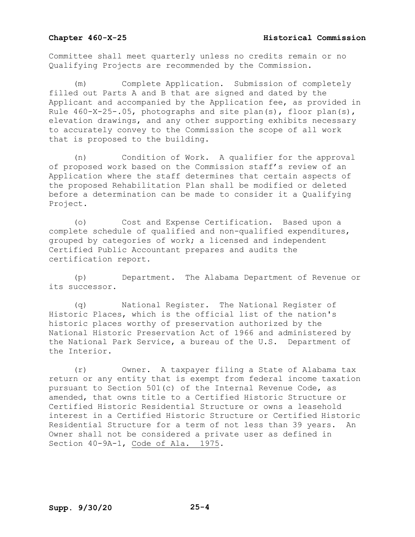Committee shall meet quarterly unless no credits remain or no Qualifying Projects are recommended by the Commission.

Complete Application. Submission of completely filled out Parts A and B that are signed and dated by the Applicant and accompanied by the Application fee, as provided in Rule 460-X-25-.05, photographs and site plan(s), floor plan(s), elevation drawings, and any other supporting exhibits necessary to accurately convey to the Commission the scope of all work that is proposed to the building.

(n) Condition of Work. A qualifier for the approval of proposed work based on the Commission staff's review of an Application where the staff determines that certain aspects of the proposed Rehabilitation Plan shall be modified or deleted before a determination can be made to consider it a Qualifying Project.

(o) Cost and Expense Certification. Based upon a complete schedule of qualified and non-qualified expenditures, grouped by categories of work; a licensed and independent Certified Public Accountant prepares and audits the certification report.

(p) Department. The Alabama Department of Revenue or its successor.

(q) National Register. The National Register of Historic Places, which is the official list of the nation's historic places worthy of preservation authorized by the National Historic Preservation Act of 1966 and administered by the National Park Service, a bureau of the U.S. Department of the Interior.

(r) Owner. A taxpayer filing a State of Alabama tax return or any entity that is exempt from federal income taxation pursuant to Section 501(c) of the Internal Revenue Code, as amended, that owns title to a Certified Historic Structure or Certified Historic Residential Structure or owns a leasehold interest in a Certified Historic Structure or Certified Historic Residential Structure for a term of not less than 39 years. An Owner shall not be considered a private user as defined in Section 40-9A-1, Code of Ala. 1975.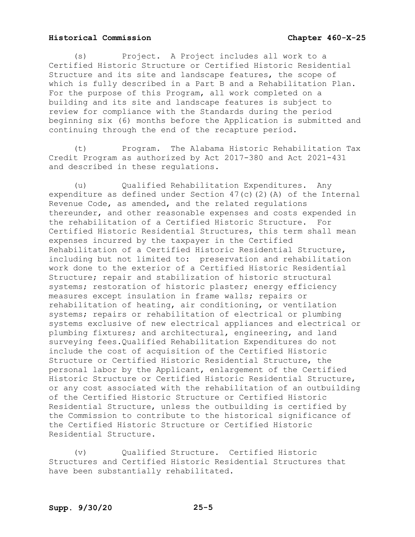(s) Project. A Project includes all work to a Certified Historic Structure or Certified Historic Residential Structure and its site and landscape features, the scope of which is fully described in a Part B and a Rehabilitation Plan. For the purpose of this Program, all work completed on a building and its site and landscape features is subject to review for compliance with the Standards during the period beginning six (6) months before the Application is submitted and continuing through the end of the recapture period.

(t) Program. The Alabama Historic Rehabilitation Tax Credit Program as authorized by Act 2017-380 and Act 2021-431 and described in these regulations.

(u) Qualified Rehabilitation Expenditures. Any expenditure as defined under Section 47(c)(2)(A) of the Internal Revenue Code, as amended, and the related regulations thereunder, and other reasonable expenses and costs expended in the rehabilitation of a Certified Historic Structure. For Certified Historic Residential Structures, this term shall mean expenses incurred by the taxpayer in the Certified Rehabilitation of a Certified Historic Residential Structure, including but not limited to: preservation and rehabilitation work done to the exterior of a Certified Historic Residential Structure; repair and stabilization of historic structural systems; restoration of historic plaster; energy efficiency measures except insulation in frame walls; repairs or rehabilitation of heating, air conditioning, or ventilation systems; repairs or rehabilitation of electrical or plumbing systems exclusive of new electrical appliances and electrical or plumbing fixtures; and architectural, engineering, and land surveying fees.Qualified Rehabilitation Expenditures do not include the cost of acquisition of the Certified Historic Structure or Certified Historic Residential Structure, the personal labor by the Applicant, enlargement of the Certified Historic Structure or Certified Historic Residential Structure, or any cost associated with the rehabilitation of an outbuilding of the Certified Historic Structure or Certified Historic Residential Structure, unless the outbuilding is certified by the Commission to contribute to the historical significance of the Certified Historic Structure or Certified Historic Residential Structure.

(v) Qualified Structure. Certified Historic Structures and Certified Historic Residential Structures that have been substantially rehabilitated.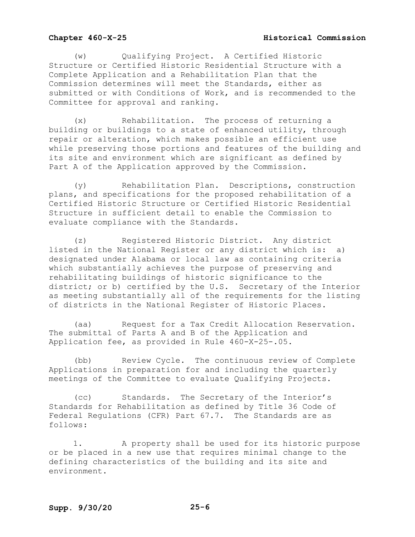(w) Qualifying Project. A Certified Historic Structure or Certified Historic Residential Structure with a Complete Application and a Rehabilitation Plan that the Commission determines will meet the Standards, either as submitted or with Conditions of Work, and is recommended to the Committee for approval and ranking.

(x) Rehabilitation. The process of returning a building or buildings to a state of enhanced utility, through repair or alteration, which makes possible an efficient use while preserving those portions and features of the building and its site and environment which are significant as defined by Part A of the Application approved by the Commission.

(y) Rehabilitation Plan. Descriptions, construction plans, and specifications for the proposed rehabilitation of a Certified Historic Structure or Certified Historic Residential Structure in sufficient detail to enable the Commission to evaluate compliance with the Standards.

(z) Registered Historic District. Any district<br>d in the National Register or any district which is: a) listed in the National Register or any district which is: designated under Alabama or local law as containing criteria which substantially achieves the purpose of preserving and rehabilitating buildings of historic significance to the district; or b) certified by the U.S. Secretary of the Interior as meeting substantially all of the requirements for the listing of districts in the National Register of Historic Places.

(aa) Request for a Tax Credit Allocation Reservation. The submittal of Parts A and B of the Application and Application fee, as provided in Rule 460-X-25-.05.

(bb) Review Cycle. The continuous review of Complete Applications in preparation for and including the quarterly meetings of the Committee to evaluate Qualifying Projects.

(cc) Standards. The Secretary of the Interior's Standards for Rehabilitation as defined by Title 36 Code of Federal Regulations (CFR) Part 67.7. The Standards are as follows:

1. A property shall be used for its historic purpose or be placed in a new use that requires minimal change to the defining characteristics of the building and its site and environment.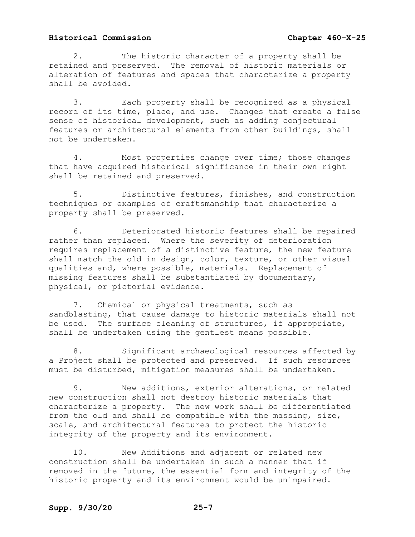2. The historic character of a property shall be retained and preserved. The removal of historic materials or alteration of features and spaces that characterize a property shall be avoided.

3. Each property shall be recognized as a physical record of its time, place, and use. Changes that create a false sense of historical development, such as adding conjectural features or architectural elements from other buildings, shall not be undertaken.

4. Most properties change over time; those changes that have acquired historical significance in their own right shall be retained and preserved.

5. Distinctive features, finishes, and construction techniques or examples of craftsmanship that characterize a property shall be preserved.

6. Deteriorated historic features shall be repaired rather than replaced. Where the severity of deterioration requires replacement of a distinctive feature, the new feature shall match the old in design, color, texture, or other visual qualities and, where possible, materials. Replacement of missing features shall be substantiated by documentary, physical, or pictorial evidence.

7. Chemical or physical treatments, such as sandblasting, that cause damage to historic materials shall not be used. The surface cleaning of structures, if appropriate, shall be undertaken using the gentlest means possible.

8. Significant archaeological resources affected by a Project shall be protected and preserved. If such resources must be disturbed, mitigation measures shall be undertaken.

9. New additions, exterior alterations, or related new construction shall not destroy historic materials that characterize a property. The new work shall be differentiated from the old and shall be compatible with the massing, size, scale, and architectural features to protect the historic integrity of the property and its environment.

10. New Additions and adjacent or related new construction shall be undertaken in such a manner that if removed in the future, the essential form and integrity of the historic property and its environment would be unimpaired.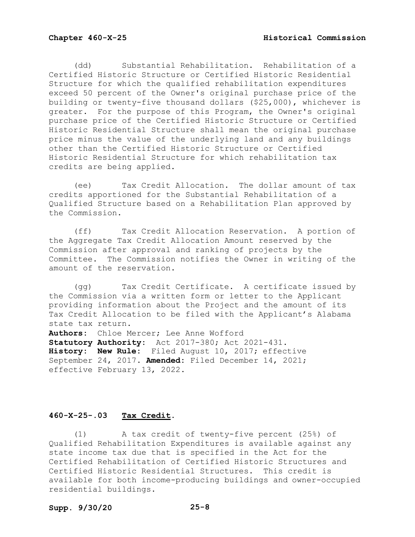(dd) Substantial Rehabilitation. Rehabilitation of a Certified Historic Structure or Certified Historic Residential Structure for which the qualified rehabilitation expenditures exceed 50 percent of the Owner's original purchase price of the building or twenty-five thousand dollars (\$25,000), whichever is greater. For the purpose of this Program, the Owner's original purchase price of the Certified Historic Structure or Certified Historic Residential Structure shall mean the original purchase price minus the value of the underlying land and any buildings other than the Certified Historic Structure or Certified Historic Residential Structure for which rehabilitation tax credits are being applied.

(ee) Tax Credit Allocation. The dollar amount of tax credits apportioned for the Substantial Rehabilitation of a Qualified Structure based on a Rehabilitation Plan approved by the Commission.

(ff) Tax Credit Allocation Reservation. A portion of the Aggregate Tax Credit Allocation Amount reserved by the Commission after approval and ranking of projects by the Committee. The Commission notifies the Owner in writing of the amount of the reservation.

(gg) Tax Credit Certificate. A certificate issued by the Commission via a written form or letter to the Applicant providing information about the Project and the amount of its Tax Credit Allocation to be filed with the Applicant's Alabama state tax return.

**Authors:** Chloe Mercer; Lee Anne Wofford **Statutory Authority:** Act 2017-380; Act 2021-431. **History: New Rule:** Filed August 10, 2017; effective September 24, 2017. **Amended:** Filed December 14, 2021; effective February 13, 2022.

## **460-X-25-.03 Tax Credit.**

(1) A tax credit of twenty-five percent (25%) of Qualified Rehabilitation Expenditures is available against any state income tax due that is specified in the Act for the Certified Rehabilitation of Certified Historic Structures and Certified Historic Residential Structures. This credit is available for both income-producing buildings and owner-occupied residential buildings.

## **Supp. 9/30/20 25-8**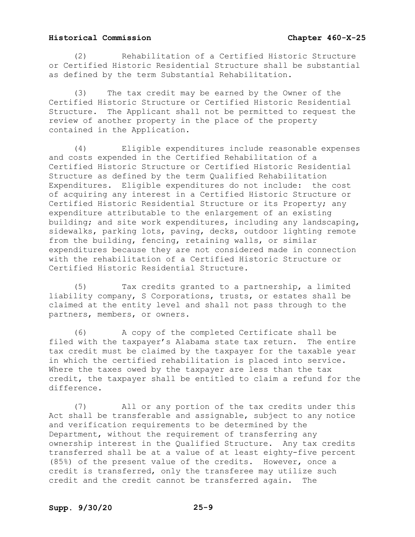(2) Rehabilitation of a Certified Historic Structure or Certified Historic Residential Structure shall be substantial as defined by the term Substantial Rehabilitation.

(3) The tax credit may be earned by the Owner of the Certified Historic Structure or Certified Historic Residential Structure. The Applicant shall not be permitted to request the review of another property in the place of the property contained in the Application.

(4) Eligible expenditures include reasonable expenses and costs expended in the Certified Rehabilitation of a Certified Historic Structure or Certified Historic Residential Structure as defined by the term Qualified Rehabilitation Expenditures. Eligible expenditures do not include: the cost of acquiring any interest in a Certified Historic Structure or Certified Historic Residential Structure or its Property; any expenditure attributable to the enlargement of an existing building; and site work expenditures, including any landscaping, sidewalks, parking lots, paving, decks, outdoor lighting remote from the building, fencing, retaining walls, or similar expenditures because they are not considered made in connection with the rehabilitation of a Certified Historic Structure or Certified Historic Residential Structure.

(5) Tax credits granted to a partnership, a limited liability company, S Corporations, trusts, or estates shall be claimed at the entity level and shall not pass through to the partners, members, or owners.

(6) A copy of the completed Certificate shall be filed with the taxpayer's Alabama state tax return. The entire tax credit must be claimed by the taxpayer for the taxable year in which the certified rehabilitation is placed into service. Where the taxes owed by the taxpayer are less than the tax credit, the taxpayer shall be entitled to claim a refund for the difference.

(7) All or any portion of the tax credits under this Act shall be transferable and assignable, subject to any notice and verification requirements to be determined by the Department, without the requirement of transferring any ownership interest in the Qualified Structure. Any tax credits transferred shall be at a value of at least eighty-five percent (85%) of the present value of the credits. However, once a credit is transferred, only the transferee may utilize such credit and the credit cannot be transferred again. The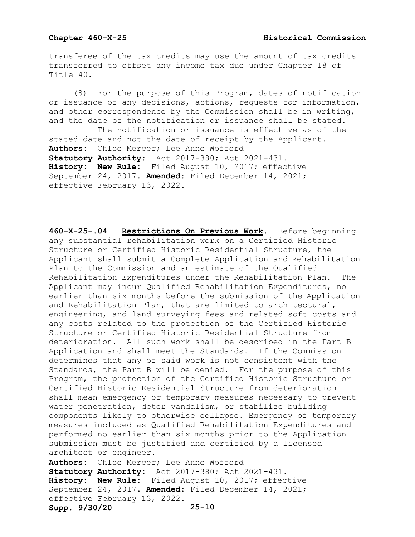transferee of the tax credits may use the amount of tax credits transferred to offset any income tax due under Chapter 18 of Title 40.

(8) For the purpose of this Program, dates of notification or issuance of any decisions, actions, requests for information, and other correspondence by the Commission shall be in writing, and the date of the notification or issuance shall be stated. The notification or issuance is effective as of the

stated date and not the date of receipt by the Applicant. **Authors:** Chloe Mercer; Lee Anne Wofford **Statutory Authority:** Act 2017-380; Act 2021-431. **History: New Rule:** Filed August 10, 2017; effective September 24, 2017. **Amended:** Filed December 14, 2021; effective February 13, 2022.

**460-X-25-.04 Restrictions On Previous Work.** Before beginning any substantial rehabilitation work on a Certified Historic Structure or Certified Historic Residential Structure, the Applicant shall submit a Complete Application and Rehabilitation Plan to the Commission and an estimate of the Qualified Rehabilitation Expenditures under the Rehabilitation Plan. The Applicant may incur Qualified Rehabilitation Expenditures, no earlier than six months before the submission of the Application and Rehabilitation Plan, that are limited to architectural, engineering, and land surveying fees and related soft costs and any costs related to the protection of the Certified Historic Structure or Certified Historic Residential Structure from deterioration. All such work shall be described in the Part B Application and shall meet the Standards. If the Commission determines that any of said work is not consistent with the Standards, the Part B will be denied. For the purpose of this Program, the protection of the Certified Historic Structure or Certified Historic Residential Structure from deterioration shall mean emergency or temporary measures necessary to prevent water penetration, deter vandalism, or stabilize building components likely to otherwise collapse. Emergency of temporary measures included as Qualified Rehabilitation Expenditures and performed no earlier than six months prior to the Application submission must be justified and certified by a licensed architect or engineer. **Authors:** Chloe Mercer; Lee Anne Wofford

**Supp. 9/30/20 25-10 Statutory Authority:** Act 2017-380; Act 2021-431. **History: New Rule:** Filed August 10, 2017; effective September 24, 2017. **Amended:** Filed December 14, 2021; effective February 13, 2022.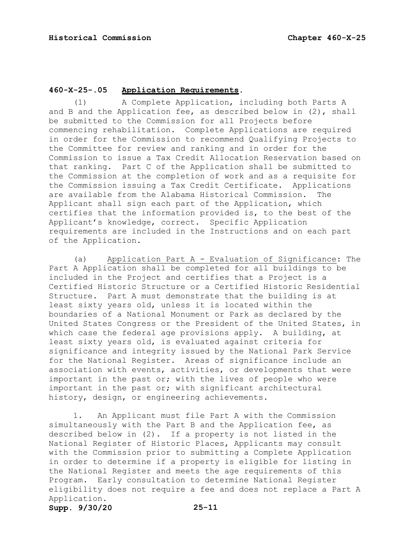## **460-X-25-.05 Application Requirements.**

(1) A Complete Application, including both Parts A and B and the Application fee, as described below in (2), shall be submitted to the Commission for all Projects before commencing rehabilitation. Complete Applications are required in order for the Commission to recommend Qualifying Projects to the Committee for review and ranking and in order for the Commission to issue a Tax Credit Allocation Reservation based on that ranking. Part C of the Application shall be submitted to the Commission at the completion of work and as a requisite for the Commission issuing a Tax Credit Certificate. Applications<br>are available from the Alabama Historical Commission. The are available from the Alabama Historical Commission. Applicant shall sign each part of the Application, which certifies that the information provided is, to the best of the Applicant's knowledge, correct. Specific Application requirements are included in the Instructions and on each part of the Application.

(a) Application Part A - Evaluation of Significance: The Part A Application shall be completed for all buildings to be included in the Project and certifies that a Project is a Certified Historic Structure or a Certified Historic Residential Structure. Part A must demonstrate that the building is at least sixty years old, unless it is located within the boundaries of a National Monument or Park as declared by the United States Congress or the President of the United States, in which case the federal age provisions apply. A building, at least sixty years old, is evaluated against criteria for significance and integrity issued by the National Park Service for the National Register. Areas of significance include an association with events, activities, or developments that were important in the past or; with the lives of people who were important in the past or; with significant architectural history, design, or engineering achievements.

1. An Applicant must file Part A with the Commission simultaneously with the Part B and the Application fee, as described below in (2). If a property is not listed in the National Register of Historic Places, Applicants may consult with the Commission prior to submitting a Complete Application in order to determine if a property is eligible for listing in the National Register and meets the age requirements of this Program. Early consultation to determine National Register eligibility does not require a fee and does not replace a Part A Application.

**Supp. 9/30/20 25-11**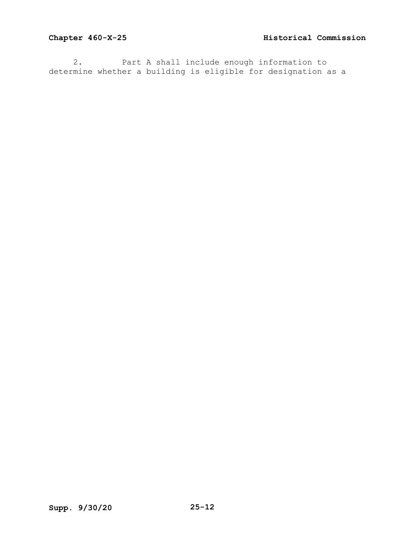2. Part A shall include enough information to determine whether a building is eligible for designation as a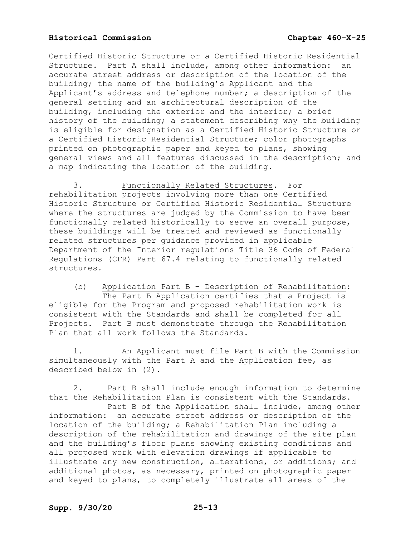Certified Historic Structure or a Certified Historic Residential Structure. Part A shall include, among other information: an accurate street address or description of the location of the building; the name of the building's Applicant and the Applicant's address and telephone number; a description of the general setting and an architectural description of the building, including the exterior and the interior; a brief history of the building; a statement describing why the building is eligible for designation as a Certified Historic Structure or a Certified Historic Residential Structure; color photographs printed on photographic paper and keyed to plans, showing general views and all features discussed in the description; and a map indicating the location of the building.

3. Functionally Related Structures. For rehabilitation projects involving more than one Certified Historic Structure or Certified Historic Residential Structure where the structures are judged by the Commission to have been functionally related historically to serve an overall purpose, these buildings will be treated and reviewed as functionally related structures per guidance provided in applicable Department of the Interior regulations Title 36 Code of Federal Regulations (CFR) Part 67.4 relating to functionally related structures.

(b) Application Part B – Description of Rehabilitation: The Part B Application certifies that a Project is eligible for the Program and proposed rehabilitation work is consistent with the Standards and shall be completed for all Projects. Part B must demonstrate through the Rehabilitation Plan that all work follows the Standards.

1. An Applicant must file Part B with the Commission simultaneously with the Part A and the Application fee, as described below in (2).

2. Part B shall include enough information to determine that the Rehabilitation Plan is consistent with the Standards. Part B of the Application shall include, among other information: an accurate street address or description of the location of the building; a Rehabilitation Plan including a description of the rehabilitation and drawings of the site plan and the building's floor plans showing existing conditions and all proposed work with elevation drawings if applicable to illustrate any new construction, alterations, or additions; and additional photos, as necessary, printed on photographic paper and keyed to plans, to completely illustrate all areas of the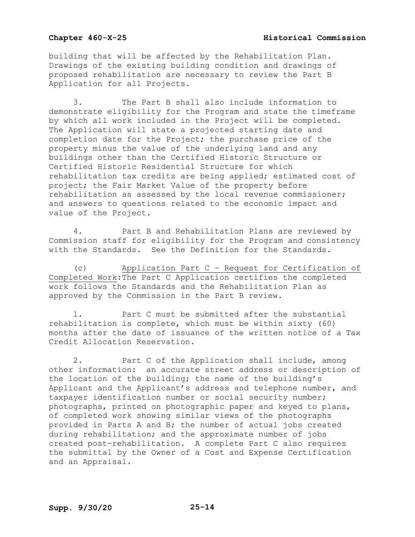building that will be affected by the Rehabilitation Plan. Drawings of the existing building condition and drawings of proposed rehabilitation are necessary to review the Part B Application for all Projects.

3. The Part B shall also include information to demonstrate eligibility for the Program and state the timeframe by which all work included in the Project will be completed. The Application will state a projected starting date and completion date for the Project; the purchase price of the property minus the value of the underlying land and any buildings other than the Certified Historic Structure or Certified Historic Residential Structure for which rehabilitation tax credits are being applied; estimated cost of project; the Fair Market Value of the property before rehabilitation as assessed by the local revenue commissioner; and answers to questions related to the economic impact and value of the Project.

4. Part B and Rehabilitation Plans are reviewed by Commission staff for eligibility for the Program and consistency with the Standards. See the Definition for the Standards.

(c) Application Part C – Request for Certification of Completed Work:The Part C Application certifies the completed work follows the Standards and the Rehabilitation Plan as approved by the Commission in the Part B review.

1. Part C must be submitted after the substantial rehabilitation is complete, which must be within sixty (60) months after the date of issuance of the written notice of a Tax Credit Allocation Reservation.

2. Part C of the Application shall include, among other information: an accurate street address or description of the location of the building; the name of the building's Applicant and the Applicant's address and telephone number, and taxpayer identification number or social security number; photographs, printed on photographic paper and keyed to plans, of completed work showing similar views of the photographs provided in Parts A and B; the number of actual jobs created during rehabilitation; and the approximate number of jobs created post-rehabilitation. A complete Part C also requires the submittal by the Owner of a Cost and Expense Certification and an Appraisal.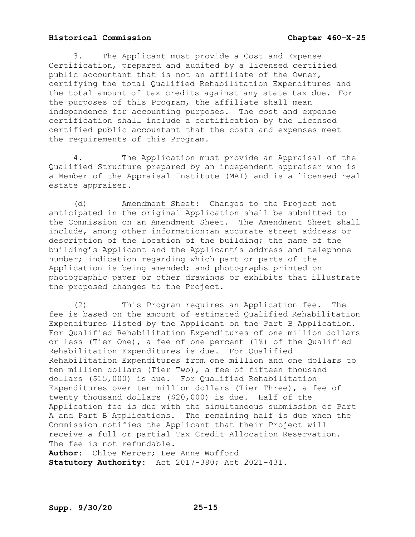3. The Applicant must provide a Cost and Expense Certification, prepared and audited by a licensed certified public accountant that is not an affiliate of the Owner, certifying the total Qualified Rehabilitation Expenditures and the total amount of tax credits against any state tax due. For the purposes of this Program, the affiliate shall mean independence for accounting purposes. The cost and expense certification shall include a certification by the licensed certified public accountant that the costs and expenses meet the requirements of this Program.

4. The Application must provide an Appraisal of the Qualified Structure prepared by an independent appraiser who is a Member of the Appraisal Institute (MAI) and is a licensed real estate appraiser.

(d) Amendment Sheet: Changes to the Project not anticipated in the original Application shall be submitted to the Commission on an Amendment Sheet. The Amendment Sheet shall include, among other information:an accurate street address or description of the location of the building; the name of the building's Applicant and the Applicant's address and telephone number; indication regarding which part or parts of the Application is being amended; and photographs printed on photographic paper or other drawings or exhibits that illustrate the proposed changes to the Project.

(2) This Program requires an Application fee. The fee is based on the amount of estimated Qualified Rehabilitation Expenditures listed by the Applicant on the Part B Application. For Qualified Rehabilitation Expenditures of one million dollars or less (Tier One), a fee of one percent (1%) of the Qualified Rehabilitation Expenditures is due. For Qualified Rehabilitation Expenditures from one million and one dollars to ten million dollars (Tier Two), a fee of fifteen thousand dollars (\$15,000) is due. For Qualified Rehabilitation Expenditures over ten million dollars (Tier Three), a fee of twenty thousand dollars (\$20,000) is due. Half of the Application fee is due with the simultaneous submission of Part A and Part B Applications. The remaining half is due when the Commission notifies the Applicant that their Project will receive a full or partial Tax Credit Allocation Reservation. The fee is not refundable. **Author:** Chloe Mercer; Lee Anne Wofford

**Statutory Authority:** Act 2017-380; Act 2021-431.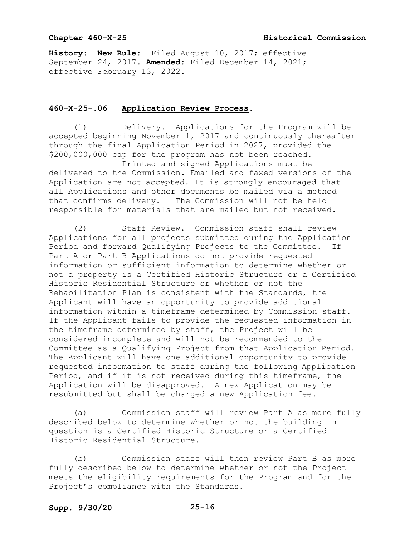## **Chapter 460-X-25 Historical Commission**

**History: New Rule:** Filed August 10, 2017; effective September 24, 2017. **Amended:** Filed December 14, 2021; effective February 13, 2022.

## **460-X-25-.06 Application Review Process.**

(1) Delivery. Applications for the Program will be accepted beginning November 1, 2017 and continuously thereafter through the final Application Period in 2027, provided the \$200,000,000 cap for the program has not been reached.

Printed and signed Applications must be delivered to the Commission. Emailed and faxed versions of the Application are not accepted. It is strongly encouraged that all Applications and other documents be mailed via a method that confirms delivery. The Commission will not be held responsible for materials that are mailed but not received.

(2) Staff Review. Commission staff shall review Applications for all projects submitted during the Application Period and forward Qualifying Projects to the Committee. If Part A or Part B Applications do not provide requested information or sufficient information to determine whether or not a property is a Certified Historic Structure or a Certified Historic Residential Structure or whether or not the Rehabilitation Plan is consistent with the Standards, the Applicant will have an opportunity to provide additional information within a timeframe determined by Commission staff. If the Applicant fails to provide the requested information in the timeframe determined by staff, the Project will be considered incomplete and will not be recommended to the Committee as a Qualifying Project from that Application Period. The Applicant will have one additional opportunity to provide requested information to staff during the following Application Period, and if it is not received during this timeframe, the Application will be disapproved. A new Application may be resubmitted but shall be charged a new Application fee.

(a) Commission staff will review Part A as more fully described below to determine whether or not the building in question is a Certified Historic Structure or a Certified Historic Residential Structure.

(b) Commission staff will then review Part B as more fully described below to determine whether or not the Project meets the eligibility requirements for the Program and for the Project's compliance with the Standards.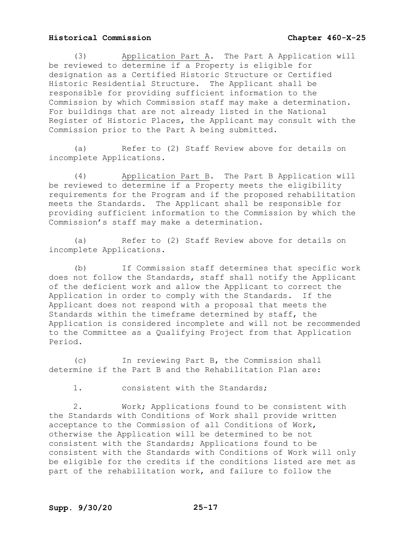(3) Application Part A. The Part A Application will be reviewed to determine if a Property is eligible for designation as a Certified Historic Structure or Certified Historic Residential Structure. The Applicant shall be responsible for providing sufficient information to the Commission by which Commission staff may make a determination. For buildings that are not already listed in the National Register of Historic Places, the Applicant may consult with the Commission prior to the Part A being submitted.

(a) Refer to (2) Staff Review above for details on incomplete Applications.

(4) Application Part B. The Part B Application will be reviewed to determine if a Property meets the eligibility requirements for the Program and if the proposed rehabilitation meets the Standards. The Applicant shall be responsible for providing sufficient information to the Commission by which the Commission's staff may make a determination.

(a) Refer to (2) Staff Review above for details on incomplete Applications.

(b) If Commission staff determines that specific work does not follow the Standards, staff shall notify the Applicant of the deficient work and allow the Applicant to correct the Application in order to comply with the Standards. If the Applicant does not respond with a proposal that meets the Standards within the timeframe determined by staff, the Application is considered incomplete and will not be recommended to the Committee as a Qualifying Project from that Application Period.

(c) In reviewing Part B, the Commission shall determine if the Part B and the Rehabilitation Plan are:

1. consistent with the Standards;

2. Work; Applications found to be consistent with the Standards with Conditions of Work shall provide written acceptance to the Commission of all Conditions of Work, otherwise the Application will be determined to be not consistent with the Standards; Applications found to be consistent with the Standards with Conditions of Work will only be eligible for the credits if the conditions listed are met as part of the rehabilitation work, and failure to follow the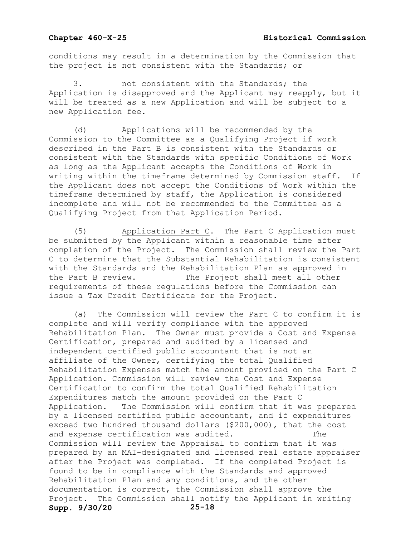conditions may result in a determination by the Commission that the project is not consistent with the Standards; or

not consistent with the Standards; the Application is disapproved and the Applicant may reapply, but it will be treated as a new Application and will be subject to a new Application fee.

(d) Applications will be recommended by the Commission to the Committee as a Qualifying Project if work described in the Part B is consistent with the Standards or consistent with the Standards with specific Conditions of Work as long as the Applicant accepts the Conditions of Work in writing within the timeframe determined by Commission staff. If the Applicant does not accept the Conditions of Work within the timeframe determined by staff, the Application is considered incomplete and will not be recommended to the Committee as a Qualifying Project from that Application Period.

(5) Application Part C. The Part C Application must be submitted by the Applicant within a reasonable time after completion of the Project. The Commission shall review the Part C to determine that the Substantial Rehabilitation is consistent with the Standards and the Rehabilitation Plan as approved in<br>the Part B review. The Project shall meet all other The Project shall meet all other requirements of these regulations before the Commission can issue a Tax Credit Certificate for the Project.

**Supp. 9/30/20 25-18** (a) The Commission will review the Part C to confirm it is complete and will verify compliance with the approved Rehabilitation Plan. The Owner must provide a Cost and Expense Certification, prepared and audited by a licensed and independent certified public accountant that is not an affiliate of the Owner, certifying the total Qualified Rehabilitation Expenses match the amount provided on the Part C Application. Commission will review the Cost and Expense Certification to confirm the total Qualified Rehabilitation Expenditures match the amount provided on the Part C Application. The Commission will confirm that it was prepared by a licensed certified public accountant, and if expenditures exceed two hundred thousand dollars (\$200,000), that the cost<br>and expense certification was audited. and expense certification was audited. Commission will review the Appraisal to confirm that it was prepared by an MAI-designated and licensed real estate appraiser after the Project was completed. If the completed Project is found to be in compliance with the Standards and approved Rehabilitation Plan and any conditions, and the other documentation is correct, the Commission shall approve the Project. The Commission shall notify the Applicant in writing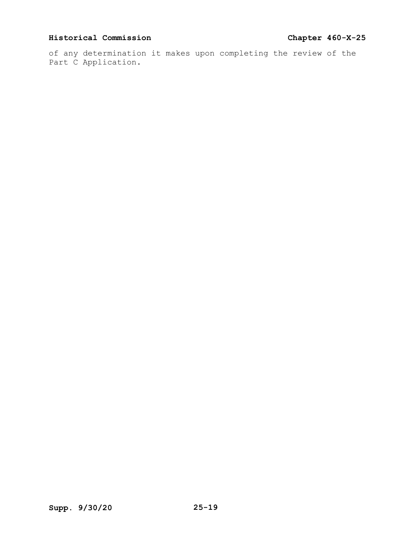of any determination it makes upon completing the review of the Part C Application.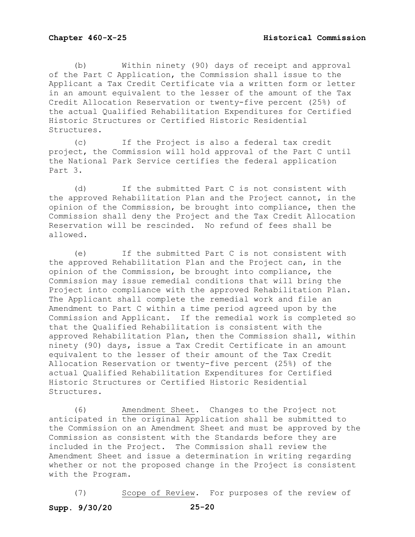(b) Within ninety (90) days of receipt and approval of the Part C Application, the Commission shall issue to the Applicant a Tax Credit Certificate via a written form or letter in an amount equivalent to the lesser of the amount of the Tax Credit Allocation Reservation or twenty-five percent (25%) of the actual Qualified Rehabilitation Expenditures for Certified Historic Structures or Certified Historic Residential Structures.

(c) If the Project is also a federal tax credit project, the Commission will hold approval of the Part C until the National Park Service certifies the federal application Part 3.

(d) If the submitted Part C is not consistent with the approved Rehabilitation Plan and the Project cannot, in the opinion of the Commission, be brought into compliance, then the Commission shall deny the Project and the Tax Credit Allocation Reservation will be rescinded. No refund of fees shall be allowed.

(e) If the submitted Part C is not consistent with the approved Rehabilitation Plan and the Project can, in the opinion of the Commission, be brought into compliance, the Commission may issue remedial conditions that will bring the Project into compliance with the approved Rehabilitation Plan. The Applicant shall complete the remedial work and file an Amendment to Part C within a time period agreed upon by the Commission and Applicant. If the remedial work is completed so that the Qualified Rehabilitation is consistent with the approved Rehabilitation Plan, then the Commission shall, within ninety (90) days, issue a Tax Credit Certificate in an amount equivalent to the lesser of their amount of the Tax Credit Allocation Reservation or twenty-five percent (25%) of the actual Qualified Rehabilitation Expenditures for Certified Historic Structures or Certified Historic Residential Structures.

(6) Amendment Sheet. Changes to the Project not anticipated in the original Application shall be submitted to the Commission on an Amendment Sheet and must be approved by the Commission as consistent with the Standards before they are included in the Project. The Commission shall review the Amendment Sheet and issue a determination in writing regarding whether or not the proposed change in the Project is consistent with the Program.

**Supp. 9/30/20 25-20** (7) Scope of Review. For purposes of the review of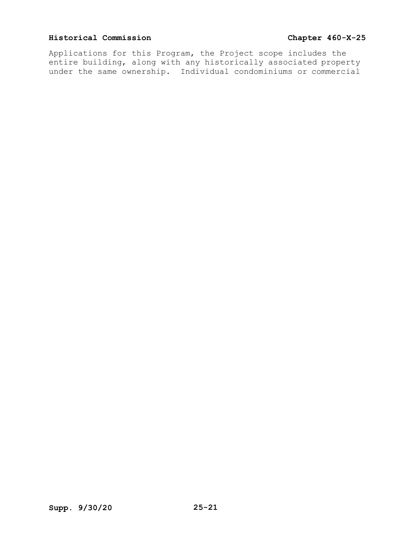Applications for this Program, the Project scope includes the entire building, along with any historically associated property under the same ownership. Individual condominiums or commercial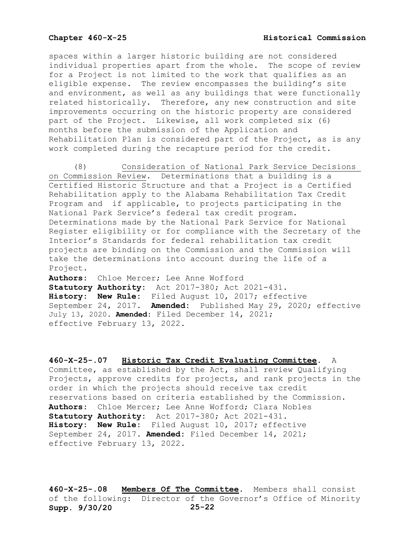spaces within a larger historic building are not considered individual properties apart from the whole. The scope of review for a Project is not limited to the work that qualifies as an eligible expense. The review encompasses the building's site and environment, as well as any buildings that were functionally related historically. Therefore, any new construction and site improvements occurring on the historic property are considered part of the Project. Likewise, all work completed six (6) months before the submission of the Application and Rehabilitation Plan is considered part of the Project, as is any work completed during the recapture period for the credit.

(8) Consideration of National Park Service Decisions on Commission Review. Determinations that a building is a Certified Historic Structure and that a Project is a Certified Rehabilitation apply to the Alabama Rehabilitation Tax Credit Program and if applicable, to projects participating in the National Park Service's federal tax credit program. Determinations made by the National Park Service for National Register eligibility or for compliance with the Secretary of the Interior's Standards for federal rehabilitation tax credit projects are binding on the Commission and the Commission will take the determinations into account during the life of a Project.

**Authors:** Chloe Mercer; Lee Anne Wofford **Statutory Authority:** Act 2017-380; Act 2021-431. **History: New Rule:** Filed August 10, 2017; effective September 24, 2017. **Amended:** Published May 29, 2020; effective July 13, 2020. **Amended:** Filed December 14, 2021; effective February 13, 2022.

**460-X-25-.07 Historic Tax Credit Evaluating Committee.** A Committee, as established by the Act, shall review Qualifying Projects, approve credits for projects, and rank projects in the order in which the projects should receive tax credit reservations based on criteria established by the Commission. **Authors:** Chloe Mercer; Lee Anne Wofford; Clara Nobles **Statutory Authority:** Act 2017-380; Act 2021-431. **History: New Rule:** Filed August 10, 2017; effective September 24, 2017. **Amended:** Filed December 14, 2021; effective February 13, 2022.

**Supp. 9/30/20 25-22 460-X-25-.08 Members Of The Committee.** Members shall consist of the following: Director of the Governor's Office of Minority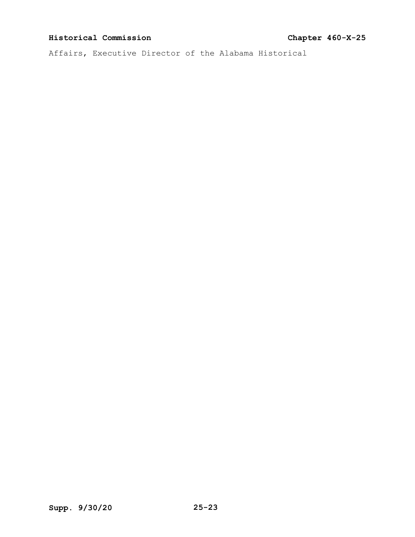Affairs, Executive Director of the Alabama Historical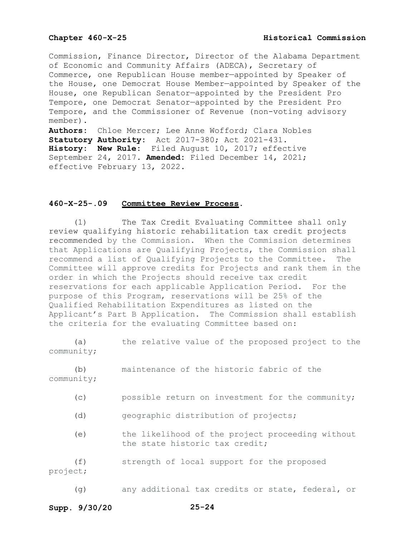Commission, Finance Director, Director of the Alabama Department of Economic and Community Affairs (ADECA), Secretary of Commerce, one Republican House member—appointed by Speaker of the House, one Democrat House Member—appointed by Speaker of the House, one Republican Senator—appointed by the President Pro Tempore, one Democrat Senator—appointed by the President Pro Tempore, and the Commissioner of Revenue (non-voting advisory member). **Authors:** Chloe Mercer; Lee Anne Wofford; Clara Nobles **Statutory Authority:** Act 2017-380; Act 2021-431. **History: New Rule:** Filed August 10, 2017; effective

September 24, 2017. **Amended:** Filed December 14, 2021; effective February 13, 2022.

### **460-X-25-.09 Committee Review Process**.

(1) The Tax Credit Evaluating Committee shall only review qualifying historic rehabilitation tax credit projects recommended by the Commission. When the Commission determines that Applications are Qualifying Projects, the Commission shall recommend a list of Qualifying Projects to the Committee. The Committee will approve credits for Projects and rank them in the order in which the Projects should receive tax credit reservations for each applicable Application Period. For the purpose of this Program, reservations will be 25% of the Qualified Rehabilitation Expenditures as listed on the Applicant's Part B Application. The Commission shall establish the criteria for the evaluating Committee based on:

(a) the relative value of the proposed project to the community;

(b) maintenance of the historic fabric of the community;

- (c) possible return on investment for the community;
- (d) geographic distribution of projects;

(e) the likelihood of the project proceeding without the state historic tax credit;

(f) strength of local support for the proposed project;

(g) any additional tax credits or state, federal, or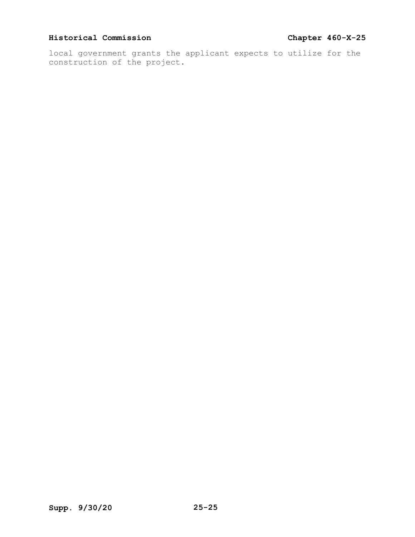local government grants the applicant expects to utilize for the construction of the project.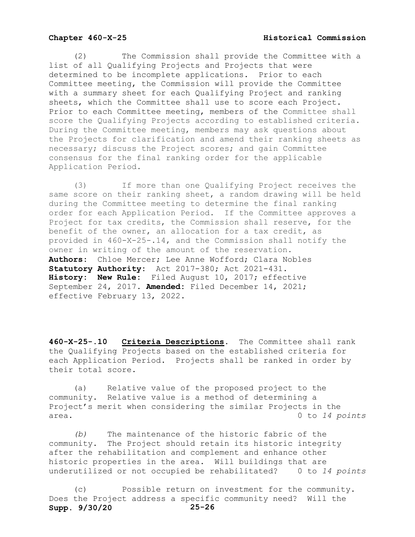(2) The Commission shall provide the Committee with a list of all Qualifying Projects and Projects that were determined to be incomplete applications. Prior to each Committee meeting, the Commission will provide the Committee with a summary sheet for each Qualifying Project and ranking sheets, which the Committee shall use to score each Project. Prior to each Committee meeting, members of the Committee shall score the Qualifying Projects according to established criteria. During the Committee meeting, members may ask questions about the Projects for clarification and amend their ranking sheets as necessary; discuss the Project scores; and gain Committee consensus for the final ranking order for the applicable Application Period.

(3) If more than one Qualifying Project receives the same score on their ranking sheet, a random drawing will be held during the Committee meeting to determine the final ranking order for each Application Period. If the Committee approves a Project for tax credits, the Commission shall reserve, for the benefit of the owner, an allocation for a tax credit, as provided in 460-X-25-.14, and the Commission shall notify the owner in writing of the amount of the reservation. **Authors:** Chloe Mercer; Lee Anne Wofford; Clara Nobles **Statutory Authority:** Act 2017-380; Act 2021-431. **History: New Rule:** Filed August 10, 2017; effective September 24, 2017. **Amended:** Filed December 14, 2021; effective February 13, 2022.

**460-X-25-.10 Criteria Descriptions.** The Committee shall rank the Qualifying Projects based on the established criteria for each Application Period. Projects shall be ranked in order by their total score.

(a) Relative value of the proposed project to the community. Relative value is a method of determining a Project's merit when considering the similar Projects in the area. 0 to *14 points* 

*(b)* The maintenance of the historic fabric of the community. The Project should retain its historic integrity after the rehabilitation and complement and enhance other historic properties in the area. Will buildings that are underutilized or not occupied be rehabilitated? 0 to *14 points* 

**Supp. 9/30/20 25-26** (c) Possible return on investment for the community. Does the Project address a specific community need? Will the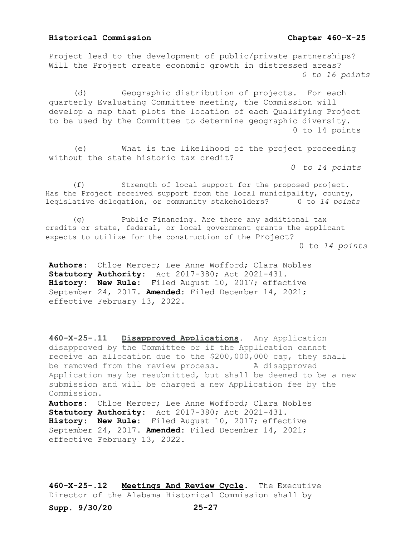Project lead to the development of public/private partnerships? Will the Project create economic growth in distressed areas? *0 to 16 points*

(d) Geographic distribution of projects. For each quarterly Evaluating Committee meeting, the Commission will develop a map that plots the location of each Qualifying Project to be used by the Committee to determine geographic diversity. 0 to 14 points

(e) What is the likelihood of the project proceeding without the state historic tax credit?

*0 to 14 points*

 (f) Strength of local support for the proposed project. Has the Project received support from the local municipality, county, legislative delegation, or community stakeholders? 0 to *14 points*

 (g) Public Financing. Are there any additional tax credits or state, federal, or local government grants the applicant expects to utilize for the construction of the Project? 0 to *14 points* 

**Authors:** Chloe Mercer; Lee Anne Wofford; Clara Nobles **Statutory Authority:** Act 2017-380; Act 2021-431. **History: New Rule:** Filed August 10, 2017; effective September 24, 2017. **Amended:** Filed December 14, 2021; effective February 13, 2022.

**460-X-25-.11 Disapproved Applications.** Any Application disapproved by the Committee or if the Application cannot receive an allocation due to the \$200,000,000 cap, they shall be removed from the review process. A disapproved Application may be resubmitted, but shall be deemed to be a new submission and will be charged a new Application fee by the Commission.

**Authors:** Chloe Mercer; Lee Anne Wofford; Clara Nobles **Statutory Authority:** Act 2017-380; Act 2021-431. **History: New Rule:** Filed August 10, 2017; effective September 24, 2017. **Amended:** Filed December 14, 2021; effective February 13, 2022.

**460-X-25-.12 Meetings And Review Cycle.** The Executive Director of the Alabama Historical Commission shall by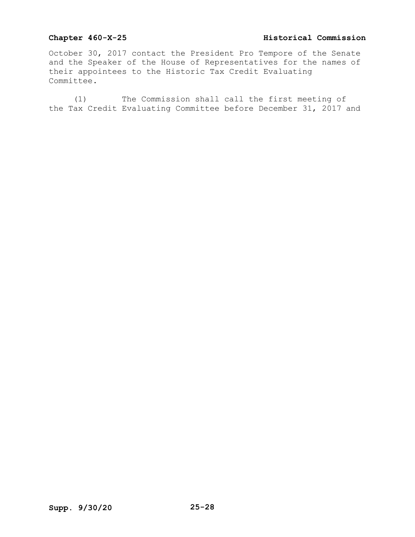## **Chapter 460-X-25 Historical Commission**

October 30, 2017 contact the President Pro Tempore of the Senate and the Speaker of the House of Representatives for the names of their appointees to the Historic Tax Credit Evaluating Committee.

(1) The Commission shall call the first meeting of the Tax Credit Evaluating Committee before December 31, 2017 and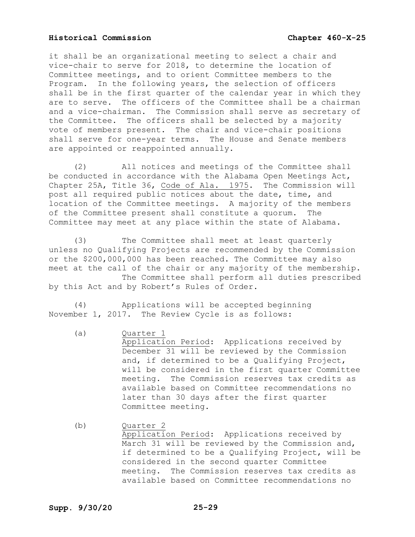it shall be an organizational meeting to select a chair and vice-chair to serve for 2018, to determine the location of Committee meetings, and to orient Committee members to the Program. In the following years, the selection of officers shall be in the first quarter of the calendar year in which they are to serve. The officers of the Committee shall be a chairman and a vice-chairman. The Commission shall serve as secretary of the Committee. The officers shall be selected by a majority vote of members present. The chair and vice-chair positions shall serve for one-year terms. The House and Senate members are appointed or reappointed annually.

(2) All notices and meetings of the Committee shall be conducted in accordance with the Alabama Open Meetings Act, Chapter 25A, Title 36, Code of Ala. 1975. The Commission will post all required public notices about the date, time, and location of the Committee meetings. A majority of the members of the Committee present shall constitute a quorum. The Committee may meet at any place within the state of Alabama.

(3) The Committee shall meet at least quarterly unless no Qualifying Projects are recommended by the Commission or the \$200,000,000 has been reached. The Committee may also meet at the call of the chair or any majority of the membership. The Committee shall perform all duties prescribed by this Act and by Robert's Rules of Order.

(4) Applications will be accepted beginning November 1, 2017. The Review Cycle is as follows:

- (a) Ouarter 1 Application Period: Applications received by December 31 will be reviewed by the Commission and, if determined to be a Qualifying Project, will be considered in the first quarter Committee meeting. The Commission reserves tax credits as available based on Committee recommendations no later than 30 days after the first quarter Committee meeting.
- (b) Quarter 2 Application Period: Applications received by March 31 will be reviewed by the Commission and, if determined to be a Qualifying Project, will be considered in the second quarter Committee meeting. The Commission reserves tax credits as available based on Committee recommendations no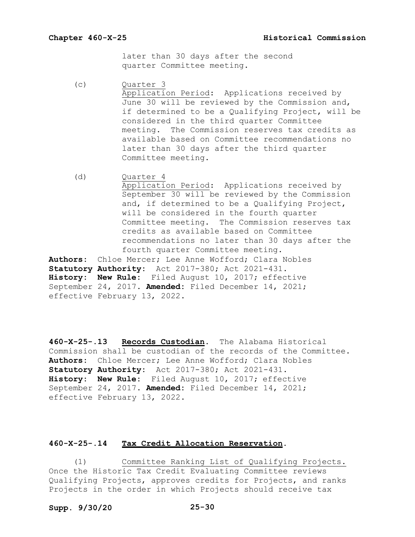later than 30 days after the second quarter Committee meeting.

(c) Quarter 3 Application Period: Applications received by June 30 will be reviewed by the Commission and, if determined to be a Qualifying Project, will be considered in the third quarter Committee meeting. The Commission reserves tax credits as available based on Committee recommendations no later than 30 days after the third quarter Committee meeting.

(d) Quarter 4 Application Period: Applications received by September 30 will be reviewed by the Commission and, if determined to be a Qualifying Project, will be considered in the fourth quarter Committee meeting. The Commission reserves tax credits as available based on Committee recommendations no later than 30 days after the fourth quarter Committee meeting.

**Authors:** Chloe Mercer; Lee Anne Wofford; Clara Nobles **Statutory Authority:** Act 2017-380; Act 2021-431. **History: New Rule:** Filed August 10, 2017; effective September 24, 2017. **Amended:** Filed December 14, 2021; effective February 13, 2022.

**460-X-25-.13 Records Custodian.** The Alabama Historical Commission shall be custodian of the records of the Committee. **Authors:** Chloe Mercer; Lee Anne Wofford; Clara Nobles **Statutory Authority:** Act 2017-380; Act 2021-431. **History: New Rule:** Filed August 10, 2017; effective September 24, 2017. **Amended:** Filed December 14, 2021; effective February 13, 2022.

## **460-X-25-.14 Tax Credit Allocation Reservation.**

(1) Committee Ranking List of Qualifying Projects. Once the Historic Tax Credit Evaluating Committee reviews Qualifying Projects, approves credits for Projects, and ranks Projects in the order in which Projects should receive tax

## **Supp. 9/30/20 25-30**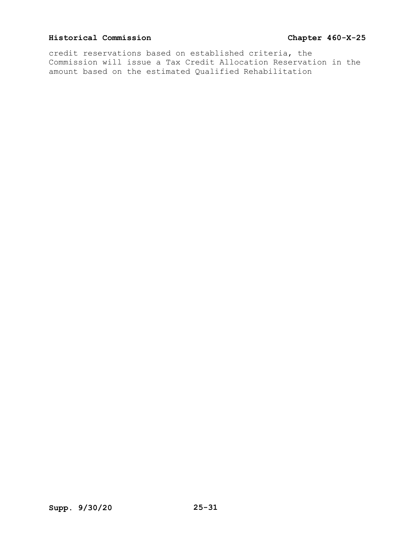credit reservations based on established criteria, the Commission will issue a Tax Credit Allocation Reservation in the amount based on the estimated Qualified Rehabilitation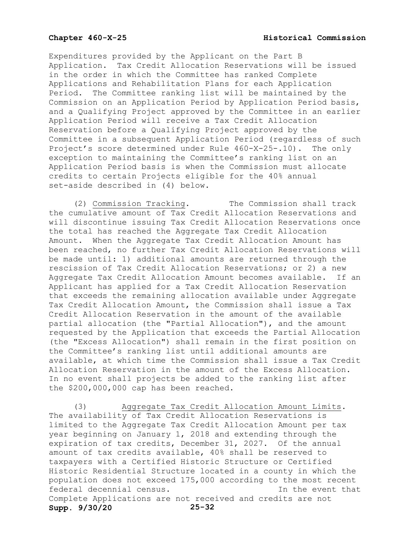Expenditures provided by the Applicant on the Part B Application. Tax Credit Allocation Reservations will be issued in the order in which the Committee has ranked Complete Applications and Rehabilitation Plans for each Application Period. The Committee ranking list will be maintained by the Commission on an Application Period by Application Period basis, and a Qualifying Project approved by the Committee in an earlier Application Period will receive a Tax Credit Allocation Reservation before a Qualifying Project approved by the Committee in a subsequent Application Period (regardless of such Project's score determined under Rule 460-X-25-.10). The only exception to maintaining the Committee's ranking list on an Application Period basis is when the Commission must allocate credits to certain Projects eligible for the 40% annual set-aside described in (4) below.

(2) Commission Tracking. The Commission shall track the cumulative amount of Tax Credit Allocation Reservations and will discontinue issuing Tax Credit Allocation Reservations once the total has reached the Aggregate Tax Credit Allocation Amount. When the Aggregate Tax Credit Allocation Amount has been reached, no further Tax Credit Allocation Reservations will be made until: 1) additional amounts are returned through the rescission of Tax Credit Allocation Reservations; or 2) a new Aggregate Tax Credit Allocation Amount becomes available. If an Applicant has applied for a Tax Credit Allocation Reservation that exceeds the remaining allocation available under Aggregate Tax Credit Allocation Amount, the Commission shall issue a Tax Credit Allocation Reservation in the amount of the available partial allocation (the "Partial Allocation"), and the amount requested by the Application that exceeds the Partial Allocation (the "Excess Allocation") shall remain in the first position on the Committee's ranking list until additional amounts are available, at which time the Commission shall issue a Tax Credit Allocation Reservation in the amount of the Excess Allocation. In no event shall projects be added to the ranking list after the \$200,000,000 cap has been reached.

**Supp. 9/30/20 25-32** (3) Aggregate Tax Credit Allocation Amount Limits. The availability of Tax Credit Allocation Reservations is limited to the Aggregate Tax Credit Allocation Amount per tax year beginning on January 1, 2018 and extending through the expiration of tax credits, December 31, 2027. Of the annual amount of tax credits available, 40% shall be reserved to taxpayers with a Certified Historic Structure or Certified Historic Residential Structure located in a county in which the population does not exceed 175,000 according to the most recent<br>federal decennial census. In the event that federal decennial census. Complete Applications are not received and credits are not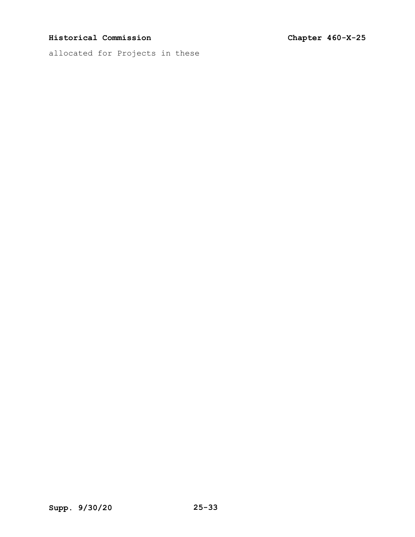allocated for Projects in these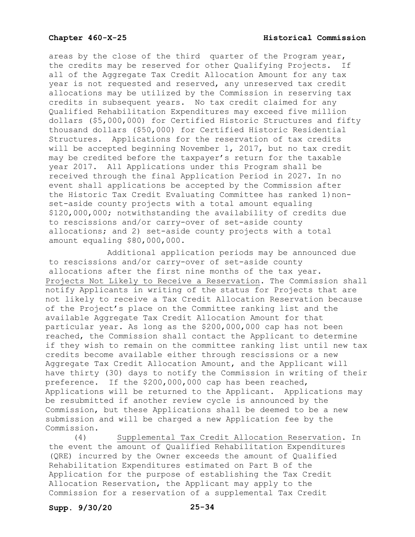areas by the close of the third quarter of the Program year,<br>the credits may be reserved for other Qualifying Projects. If the credits may be reserved for other Qualifying Projects. all of the Aggregate Tax Credit Allocation Amount for any tax year is not requested and reserved, any unreserved tax credit allocations may be utilized by the Commission in reserving tax credits in subsequent years. No tax credit claimed for any Qualified Rehabilitation Expenditures may exceed five million dollars (\$5,000,000) for Certified Historic Structures and fifty thousand dollars (\$50,000) for Certified Historic Residential Structures. Applications for the reservation of tax credits will be accepted beginning November 1, 2017, but no tax credit may be credited before the taxpayer's return for the taxable year 2017. All Applications under this Program shall be received through the final Application Period in 2027. In no event shall applications be accepted by the Commission after the Historic Tax Credit Evaluating Committee has ranked 1)nonset-aside county projects with a total amount equaling \$120,000,000; notwithstanding the availability of credits due to rescissions and/or carry-over of set-aside county allocations; and 2) set-aside county projects with a total amount equaling \$80,000,000.

Additional application periods may be announced due to rescissions and/or carry-over of set-aside county allocations after the first nine months of the tax year. Projects Not Likely to Receive a Reservation. The Commission shall notify Applicants in writing of the status for Projects that are not likely to receive a Tax Credit Allocation Reservation because of the Project's place on the Committee ranking list and the available Aggregate Tax Credit Allocation Amount for that particular year. As long as the \$200,000,000 cap has not been reached, the Commission shall contact the Applicant to determine if they wish to remain on the committee ranking list until new tax credits become available either through rescissions or a new Aggregate Tax Credit Allocation Amount, and the Applicant will have thirty (30) days to notify the Commission in writing of their preference. If the \$200,000,000 cap has been reached, Applications will be returned to the Applicant. Applications may be resubmitted if another review cycle is announced by the Commission, but these Applications shall be deemed to be a new submission and will be charged a new Application fee by the Commission.<br>(4)

Supplemental Tax Credit Allocation Reservation. In the event the amount of Qualified Rehabilitation Expenditures (QRE) incurred by the Owner exceeds the amount of Qualified Rehabilitation Expenditures estimated on Part B of the Application for the purpose of establishing the Tax Credit Allocation Reservation, the Applicant may apply to the Commission for a reservation of a supplemental Tax Credit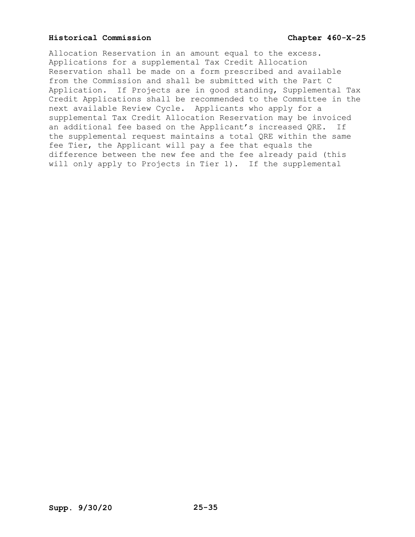Allocation Reservation in an amount equal to the excess. Applications for a supplemental Tax Credit Allocation Reservation shall be made on a form prescribed and available from the Commission and shall be submitted with the Part C Application. If Projects are in good standing, Supplemental Tax Credit Applications shall be recommended to the Committee in the next available Review Cycle. Applicants who apply for a supplemental Tax Credit Allocation Reservation may be invoiced an additional fee based on the Applicant's increased QRE. If the supplemental request maintains a total QRE within the same fee Tier, the Applicant will pay a fee that equals the difference between the new fee and the fee already paid (this will only apply to Projects in Tier 1). If the supplemental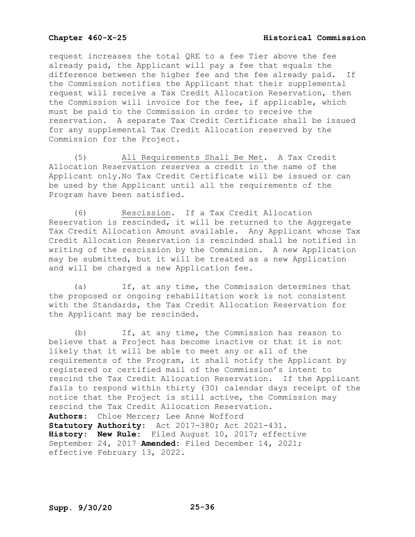request increases the total QRE to a fee Tier above the fee already paid, the Applicant will pay a fee that equals the difference between the higher fee and the fee already paid. If the Commission notifies the Applicant that their supplemental request will receive a Tax Credit Allocation Reservation, then the Commission will invoice for the fee, if applicable, which must be paid to the Commission in order to receive the reservation. A separate Tax Credit Certificate shall be issued for any supplemental Tax Credit Allocation reserved by the Commission for the Project.

(5) All Requirements Shall Be Met. A Tax Credit Allocation Reservation reserves a credit in the name of the Applicant only.No Tax Credit Certificate will be issued or can be used by the Applicant until all the requirements of the Program have been satisfied.

(6) Rescission. If a Tax Credit Allocation Reservation is rescinded, it will be returned to the Aggregate Tax Credit Allocation Amount available. Any Applicant whose Tax Credit Allocation Reservation is rescinded shall be notified in writing of the rescission by the Commission. A new Application may be submitted, but it will be treated as a new Application and will be charged a new Application fee.

(a) If, at any time, the Commission determines that the proposed or ongoing rehabilitation work is not consistent with the Standards, the Tax Credit Allocation Reservation for the Applicant may be rescinded.

(b) If, at any time, the Commission has reason to believe that a Project has become inactive or that it is not likely that it will be able to meet any or all of the requirements of the Program, it shall notify the Applicant by registered or certified mail of the Commission's intent to rescind the Tax Credit Allocation Reservation. If the Applicant fails to respond within thirty (30) calendar days receipt of the notice that the Project is still active, the Commission may rescind the Tax Credit Allocation Reservation. **Authors:** Chloe Mercer; Lee Anne Wofford **Statutory Authority:** Act 2017-380; Act 2021-431. **History: New Rule:** Filed August 10, 2017; effective September 24, 2017 **Amended:** Filed December 14, 2021; effective February 13, 2022.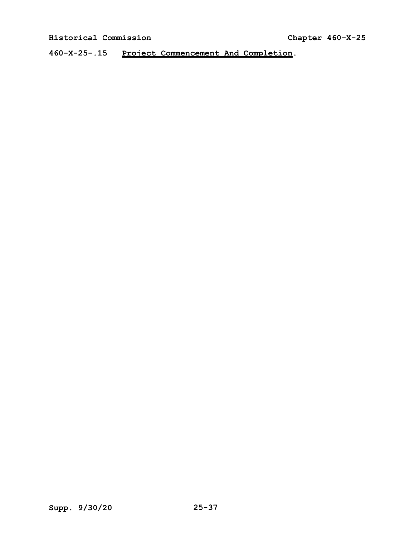**460-X-25-.15 Project Commencement And Completion.**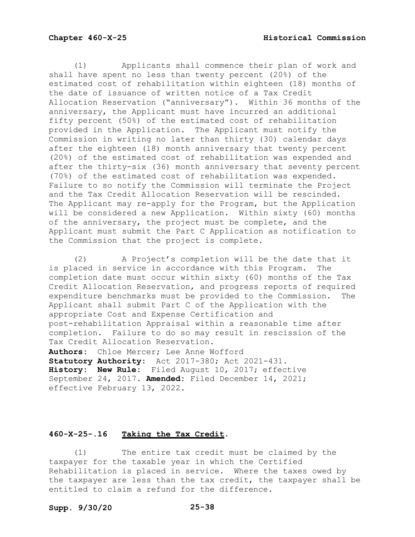(1) Applicants shall commence their plan of work and shall have spent no less than twenty percent (20%) of the estimated cost of rehabilitation within eighteen (18) months of the date of issuance of written notice of a Tax Credit Allocation Reservation ("anniversary"). Within 36 months of the anniversary, the Applicant must have incurred an additional fifty percent (50%) of the estimated cost of rehabilitation provided in the Application. The Applicant must notify the Commission in writing no later than thirty (30) calendar days after the eighteen (18) month anniversary that twenty percent (20%) of the estimated cost of rehabilitation was expended and after the thirty-six (36) month anniversary that seventy percent (70%) of the estimated cost of rehabilitation was expended. Failure to so notify the Commission will terminate the Project and the Tax Credit Allocation Reservation will be rescinded. The Applicant may re-apply for the Program, but the Application will be considered a new Application. Within sixty (60) months of the anniversary, the project must be complete, and the Applicant must submit the Part C Application as notification to the Commission that the project is complete.

(2) A Project's completion will be the date that it<br>aced in service in accordance with this Program. The is placed in service in accordance with this Program. completion date must occur within sixty (60) months of the Tax Credit Allocation Reservation, and progress reports of required expenditure benchmarks must be provided to the Commission. The Applicant shall submit Part C of the Application with the appropriate Cost and Expense Certification and post-rehabilitation Appraisal within a reasonable time after completion. Failure to do so may result in rescission of the Tax Credit Allocation Reservation.

**Authors:** Chloe Mercer; Lee Anne Wofford **Statutory Authority:** Act 2017-380; Act 2021-431. **History: New Rule:** Filed August 10, 2017; effective September 24, 2017. **Amended:** Filed December 14, 2021; effective February 13, 2022.

## **460-X-25-.16 Taking the Tax Credit.**

(1) The entire tax credit must be claimed by the taxpayer for the taxable year in which the Certified Rehabilitation is placed in service. Where the taxes owed by the taxpayer are less than the tax credit, the taxpayer shall be entitled to claim a refund for the difference.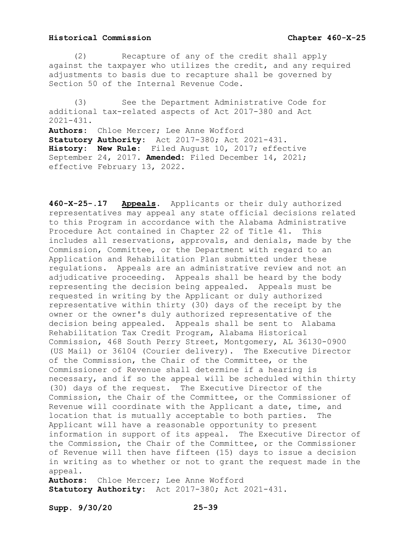(2) Recapture of any of the credit shall apply against the taxpayer who utilizes the credit, and any required adjustments to basis due to recapture shall be governed by Section 50 of the Internal Revenue Code.

(3) See the Department Administrative Code for additional tax-related aspects of Act 2017-380 and Act  $2021 - 431$ . **Authors:** Chloe Mercer; Lee Anne Wofford

**Statutory Authority:** Act 2017-380; Act 2021-431. **History: New Rule:** Filed August 10, 2017; effective September 24, 2017. **Amended:** Filed December 14, 2021; effective February 13, 2022.

**460-X-25-.17 Appeals.** Applicants or their duly authorized representatives may appeal any state official decisions related to this Program in accordance with the Alabama Administrative Procedure Act contained in Chapter 22 of Title 41. This includes all reservations, approvals, and denials, made by the Commission, Committee, or the Department with regard to an Application and Rehabilitation Plan submitted under these regulations. Appeals are an administrative review and not an adjudicative proceeding. Appeals shall be heard by the body representing the decision being appealed. Appeals must be requested in writing by the Applicant or duly authorized representative within thirty (30) days of the receipt by the owner or the owner's duly authorized representative of the decision being appealed. Appeals shall be sent to Alabama Rehabilitation Tax Credit Program, Alabama Historical Commission, 468 South Perry Street, Montgomery, AL 36130-0900 (US Mail) or 36104 (Courier delivery). The Executive Director of the Commission, the Chair of the Committee, or the Commissioner of Revenue shall determine if a hearing is necessary, and if so the appeal will be scheduled within thirty (30) days of the request. The Executive Director of the Commission, the Chair of the Committee, or the Commissioner of Revenue will coordinate with the Applicant a date, time, and location that is mutually acceptable to both parties. The Applicant will have a reasonable opportunity to present information in support of its appeal. The Executive Director of the Commission, the Chair of the Committee, or the Commissioner of Revenue will then have fifteen (15) days to issue a decision in writing as to whether or not to grant the request made in the appeal.<br>**Authors:** 

Chloe Mercer; Lee Anne Wofford **Statutory Authority:** Act 2017-380; Act 2021-431.

**Supp. 9/30/20 25-39**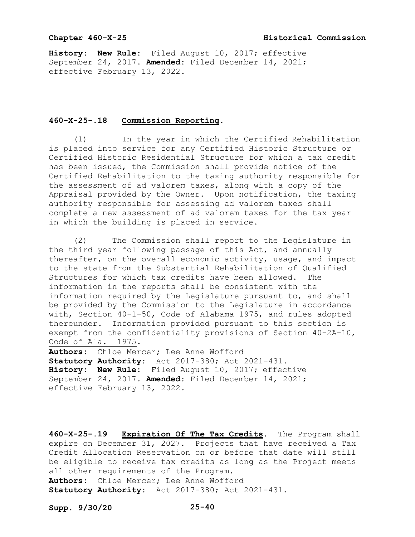## **Chapter 460-X-25 Historical Commission**

**History: New Rule:** Filed August 10, 2017; effective September 24, 2017. **Amended:** Filed December 14, 2021; effective February 13, 2022.

### **460-X-25-.18 Commission Reporting.**

(1) In the year in which the Certified Rehabilitation is placed into service for any Certified Historic Structure or Certified Historic Residential Structure for which a tax credit has been issued, the Commission shall provide notice of the Certified Rehabilitation to the taxing authority responsible for the assessment of ad valorem taxes, along with a copy of the Appraisal provided by the Owner. Upon notification, the taxing authority responsible for assessing ad valorem taxes shall complete a new assessment of ad valorem taxes for the tax year in which the building is placed in service.

(2) The Commission shall report to the Legislature in the third year following passage of this Act, and annually thereafter, on the overall economic activity, usage, and impact to the state from the Substantial Rehabilitation of Qualified Structures for which tax credits have been allowed. The information in the reports shall be consistent with the information required by the Legislature pursuant to, and shall be provided by the Commission to the Legislature in accordance with, Section 40-1-50, Code of Alabama 1975, and rules adopted thereunder. Information provided pursuant to this section is exempt from the confidentiality provisions of Section 40-2A-10, Code of Ala. 1975.

**Authors:** Chloe Mercer; Lee Anne Wofford **Statutory Authority:** Act 2017-380; Act 2021-431. **History: New Rule:** Filed August 10, 2017; effective September 24, 2017. **Amended:** Filed December 14, 2021; effective February 13, 2022.

**460-X-25-.19 Expiration Of The Tax Credits.** The Program shall expire on December 31, 2027. Projects that have received a Tax Credit Allocation Reservation on or before that date will still be eligible to receive tax credits as long as the Project meets all other requirements of the Program. **Authors:** Chloe Mercer; Lee Anne Wofford

**Statutory Authority:** Act 2017-380; Act 2021-431.

**Supp. 9/30/20 25-40**